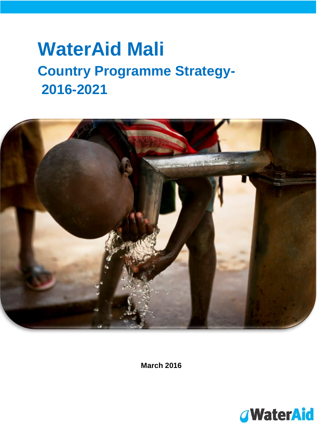# **WaterAid Mali Country Programme Strategy-2016-2021**



**March 2016**

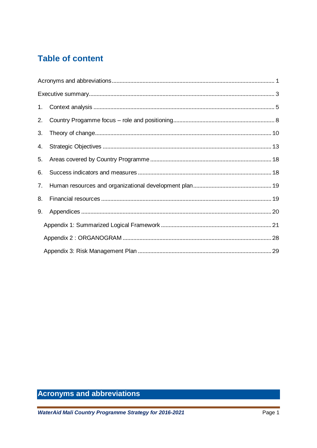# **Table of content**

| 1. |  |
|----|--|
| 2. |  |
| 3. |  |
| 4. |  |
| 5. |  |
| 6. |  |
| 7. |  |
| 8. |  |
| 9. |  |
|    |  |
|    |  |
|    |  |

# <span id="page-1-0"></span>**Acronyms and abbreviations**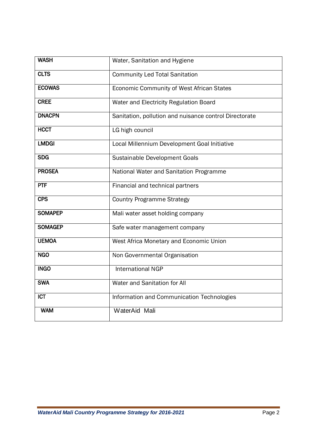| <b>WASH</b>    | Water, Sanitation and Hygiene                          |  |  |  |  |
|----------------|--------------------------------------------------------|--|--|--|--|
| <b>CLTS</b>    | <b>Community Led Total Sanitation</b>                  |  |  |  |  |
| <b>ECOWAS</b>  | Economic Community of West African States              |  |  |  |  |
| <b>CREE</b>    | Water and Electricity Regulation Board                 |  |  |  |  |
| <b>DNACPN</b>  | Sanitation, pollution and nuisance control Directorate |  |  |  |  |
| <b>HCCT</b>    | LG high council                                        |  |  |  |  |
| <b>LMDGI</b>   | Local Millennium Development Goal Initiative           |  |  |  |  |
| <b>SDG</b>     | Sustainable Development Goals                          |  |  |  |  |
| <b>PROSEA</b>  | National Water and Sanitation Programme                |  |  |  |  |
| <b>PTF</b>     | Financial and technical partners                       |  |  |  |  |
| <b>CPS</b>     | <b>Country Programme Strategy</b>                      |  |  |  |  |
| <b>SOMAPEP</b> | Mali water asset holding company                       |  |  |  |  |
| <b>SOMAGEP</b> | Safe water management company                          |  |  |  |  |
| <b>UEMOA</b>   | West Africa Monetary and Economic Union                |  |  |  |  |
| <b>NGO</b>     | Non Governmental Organisation                          |  |  |  |  |
| <b>INGO</b>    | <b>International NGP</b>                               |  |  |  |  |
| <b>SWA</b>     | Water and Sanitation for All                           |  |  |  |  |
| <b>ICT</b>     | Information and Communication Technologies             |  |  |  |  |
| <b>WAM</b>     | WaterAid Mali                                          |  |  |  |  |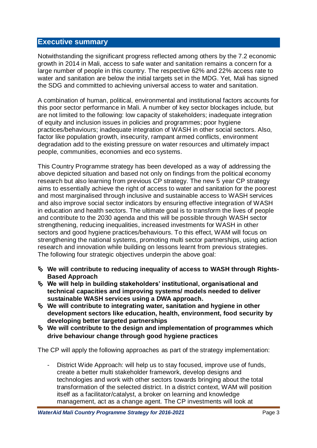## <span id="page-3-0"></span>**Executive summary**

Notwithstanding the significant progress reflected among others by the 7.2 economic growth in 2014 in Mali, access to safe water and sanitation remains a concern for a large number of people in this country. The respective 62% and 22% access rate to water and sanitation are below the initial targets set in the MDG. Yet, Mali has signed the SDG and committed to achieving universal access to water and sanitation.

A combination of human, political, environmental and institutional factors accounts for this poor sector performance in Mali. A number of key sector blockages include, but are not limited to the following: low capacity of stakeholders; inadequate integration of equity and inclusion issues in policies and programmes; poor hygiene practices/behaviours; inadequate integration of WASH in other social sectors. Also, factor like population growth, insecurity, rampant armed conflicts, environment degradation add to the existing pressure on water resources and ultimately impact people, communities, economies and eco systems.

This Country Programme strategy has been developed as a way of addressing the above depicted situation and based not only on findings from the political economy research but also learning from previous CP strategy. The new 5 year CP strategy aims to essentially achieve the right of access to water and sanitation for the poorest and most marginalised through inclusive and sustainable access to WASH services and also improve social sector indicators by ensuring effective integration of WASH in education and health sectors. The ultimate goal is to transform the lives of people and contribute to the 2030 agenda and this will be possible through WASH sector strengthening, reducing inequalities, increased investments for WASH in other sectors and good hygiene practices/behaviours. To this effect, WAM will focus on strengthening the national systems, promoting multi sector partnerships, using action research and innovation while building on lessons learnt from previous strategies. The following four strategic objectives underpin the above goal:

- **We will contribute to reducing inequality of access to WASH through Rights-Based Approach**
- **We will help in building stakeholders' institutional, organisational and technical capacities and improving systems/ models needed to deliver sustainable WASH services using a DWA approach.**
- **We will contribute to integrating water, sanitation and hygiene in other development sectors like education, health, environment, food security by developing better targeted partnerships**
- **We will contribute to the design and implementation of programmes which drive behaviour change through good hygiene practices**

The CP will apply the following approaches as part of the strategy implementation:

- District Wide Approach: will help us to stay focused, improve use of funds, create a better multi stakeholder framework, develop designs and technologies and work with other sectors towards bringing about the total transformation of the selected district. In a district context, WAM will position itself as a facilitator/catalyst, a broker on learning and knowledge management, act as a change agent. The CP investments will look at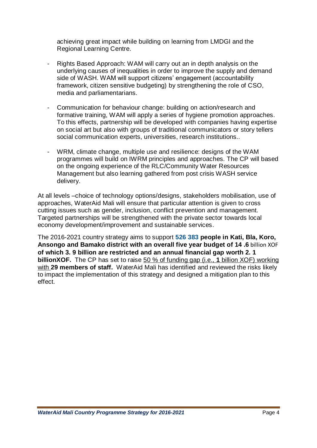achieving great impact while building on learning from LMDGI and the Regional Learning Centre.

- Rights Based Approach: WAM will carry out an in depth analysis on the underlying causes of inequalities in order to improve the supply and demand side of WASH. WAM will support citizens' engagement (accountability framework, citizen sensitive budgeting) by strengthening the role of CSO, media and parliamentarians.
- Communication for behaviour change: building on action/research and formative training, WAM will apply a series of hygiene promotion approaches. To this effects, partnership will be developed with companies having expertise on social art but also with groups of traditional communicators or story tellers social communication experts, universities, research institutions..
- WRM, climate change, multiple use and resilience: designs of the WAM programmes will build on IWRM principles and approaches. The CP will based on the ongoing experience of the RLC/Community Water Resources Management but also learning gathered from post crisis WASH service delivery.

At all levels –choice of technology options/designs, stakeholders mobilisation, use of approaches, WaterAid Mali will ensure that particular attention is given to cross cutting issues such as gender, inclusion, conflict prevention and management. Targeted partnerships will be strengthened with the private sector towards local economy development/improvement and sustainable services.

The 2016-2021 country strategy aims to support **526 383 people in Kati, Bla, Koro, Ansongo and Bamako district with an overall five year budget of 14 .6** billion XOF **of which 3. 9 billion are restricted and an annual financial gap worth 2. 1 billionXOF.** The CP has set to raise 50 % of funding gap (i.e., **1** billion XOF) working with **29 members of staff.** WaterAid Mali has identified and reviewed the risks likely to impact the implementation of this strategy and designed a mitigation plan to this effect.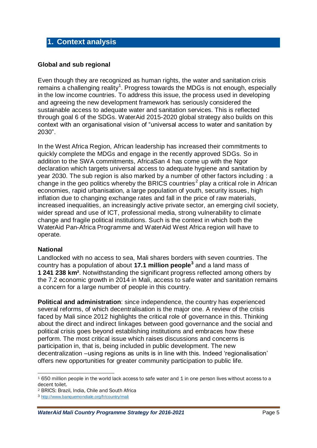## <span id="page-5-0"></span>**1. Context analysis**

#### **Global and sub regional**

Even though they are recognized as human rights, the water and sanitation crisis remains a challenging reality<sup>1</sup>. Progress towards the MDGs is not enough, especially in the low income countries. To address this issue, the process used in developing and agreeing the new development framework has seriously considered the sustainable access to adequate water and sanitation services. This is reflected through goal 6 of the SDGs. WaterAid 2015-2020 global strategy also builds on this context with an organisational vision of "universal access to water and sanitation by 2030".

In the West Africa Region, African leadership has increased their commitments to quickly complete the MDGs and engage in the recently approved SDGs. So in addition to the SWA commitments, AfricaSan 4 has come up with the Ngor declaration which targets universal access to adequate hygiene and sanitation by year 2030. The sub region is also marked by a number of other factors including : a change in the geo politics whereby the BRICS countries<sup>2</sup> play a critical role in African economies, rapid urbanisation, a large population of youth, security issues, high inflation due to changing exchange rates and fall in the price of raw materials, increased inequalities, an increasingly active private sector, an emerging civil society, wider spread and use of ICT, professional media, strong vulnerability to climate change and fragile political institutions. Such is the context in which both the WaterAid Pan-Africa Programme and WaterAid West Africa region will have to operate.

#### **National**

Landlocked with no access to sea, Mali shares borders with seven countries. The country has a population of about **17.1 million people<sup>3</sup>** and a land mass of **1 241 238 km²**. Notwithstanding the significant progress reflected among others by the 7.2 economic growth in 2014 in Mali, access to safe water and sanitation remains a concern for a large number of people in this country.

**Political and administration**: since independence, the country has experienced several reforms, of which decentralisation is the major one. A review of the crisis faced by Mali since 2012 highlights the critical role of governance in this. Thinking about the direct and indirect linkages between good governance and the social and political crisis goes beyond establishing institutions and embraces how these perform. The most critical issue which raises discussions and concerns is participation in, that is, being included in public development. The new decentralization –using regions as units is in line with this. Indeed 'regionalisation' offers new opportunities for greater community participation to public life.

 $\overline{a}$ <sup>1</sup> 650 million people in the world lack access to safe water and 1 in one person lives without access to a decent toilet.

<sup>2</sup> BRICS: Brazil, India, Chile and South Africa

<sup>3</sup> <http://www.banquemondiale.org/fr/country/mali>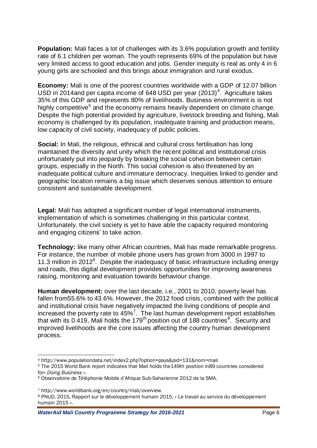**Population:** Mali faces a lot of challenges with its 3.6% population growth and fertility rate of 6.1 children per woman. The youth represents 69% of the population but have very limited access to good education and jobs. Gender inequity is real as only 4 in 6 young girls are schooled and this brings about immigration and rural exodus.

**Economy:** Mali is one of the poorest countries worldwide with a GDP of 12.07 billion USD in 2014and per capita income of 648 USD per year  $(2013)^4$ . Agriculture takes 35% of this GDP and represents 80% of livelihoods. Business environment is is not highly competitive<sup>5</sup> and the economy remains heavily dependent on climate change. Despite the high potential provided by agriculture, livestock breeding and fishing, Mali economy is challenged by its population, inadequate training and production means, low capacity of civil society, inadequacy of public policies.

**Social:** In Mali, the religious, ethnical and cultural cross fertilisation has long maintained the diversity and unity which the recent political and institutional crisis unfortunately put into jeopardy by breaking the social cohesion between certain groups, especially in the North. This social cohesion is also threatened by an inadequate political culture and immature democracy. Inequities linked to gender and geographic location remains a big issue which deserves serious attention to ensure consistent and sustainable development.

**Legal:** Mali has adopted a significant number of legal international instruments, implementation of which is sometimes challenging in this particular context. Unfortunately, the civil society is yet to have able the capacity required monitoring and engaging citizens' to take action.

**Technology:** like many other African countries, Mali has made remarkable progress. For instance, the number of mobile phone users has grown from 3000 in 1997 to 11.3 million in 2012 $<sup>6</sup>$ . Despite the inadequacy of basic infrastructure including energy</sup> and roads, this digital development provides opportunities for improving awareness raising, monitoring and evaluation towards behaviour change.

**Human development:** over the last decade, i.e., 2001 to 2010, poverty level has fallen from55.6% to 43.6%. However, the 2012 food crisis, combined with the political and institutional crisis have negatively impacted the living conditions of people and increased the poverty rate to  $45\%$ <sup>7</sup>. The last human development report establishes that with its 0.419, Mali holds the 179<sup>th</sup> position out of 188 countries<sup>8</sup>. Security and improved livelihoods are the core issues affecting the country human development process.

<sup>7</sup> http://www.worldbank.org/en/country/mali/overview

 $\overline{a}$ <sup>4</sup> http://www.populationdata.net/index2.php?option=pays&pid=131&nom=mali

<sup>5</sup> The 2015 World Bank report indicates that Mali holds the149th position in89 countries considered for« *Doing Business* ».

<sup>6</sup> Observatoire de Téléphonie Mobile d'Afrique Sub-Saharienne 2012 de la SMA.

<sup>8</sup> PNUD, 2015, Rapport sur le développement humain 2015, « Le travail au service du développement humain 2015 ».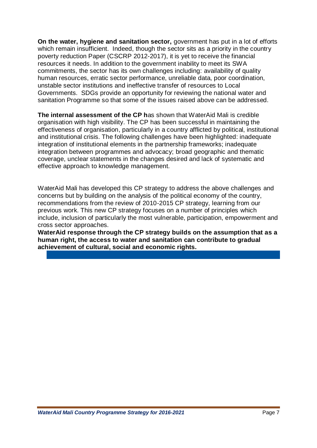**On the water, hygiene and sanitation sector,** government has put in a lot of efforts which remain insufficient. Indeed, though the sector sits as a priority in the country poverty reduction Paper (CSCRP 2012-2017), it is yet to receive the financial resources it needs. In addition to the government inability to meet its SWA commitments, the sector has its own challenges including: availability of quality human resources, erratic sector performance, unreliable data, poor coordination, unstable sector institutions and ineffective transfer of resources to Local Governments. SDGs provide an opportunity for reviewing the national water and sanitation Programme so that some of the issues raised above can be addressed.

**The internal assessment of the CP h**as shown that WaterAid Mali is credible organisation with high visibility. The CP has been successful in maintaining the effectiveness of organisation, particularly in a country afflicted by political, institutional and institutional crisis. The following challenges have been highlighted: inadequate integration of institutional elements in the partnership frameworks; inadequate integration between programmes and advocacy; broad geographic and thematic coverage, unclear statements in the changes desired and lack of systematic and effective approach to knowledge management.

WaterAid Mali has developed this CP strategy to address the above challenges and concerns but by building on the analysis of the political economy of the country, recommendations from the review of 2010-2015 CP strategy, learning from our previous work. This new CP strategy focuses on a number of principles which include, inclusion of particularly the most vulnerable, participation, empowerment and cross sector approaches.

**WaterAid response through the CP strategy builds on the assumption that as a human right, the access to water and sanitation can contribute to gradual achievement of cultural, social and economic rights.**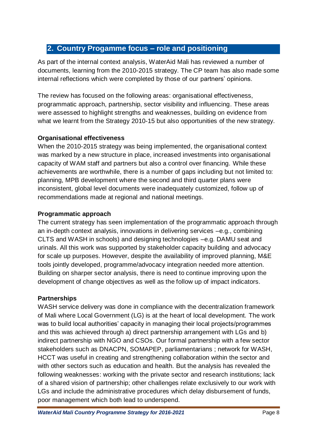## <span id="page-8-0"></span>**2. Country Progamme focus – role and positioning**

As part of the internal context analysis, WaterAid Mali has reviewed a number of documents, learning from the 2010-2015 strategy. The CP team has also made some internal reflections which were completed by those of our partners' opinions.

The review has focused on the following areas: organisational effectiveness, programmatic approach, partnership, sector visibility and influencing. These areas were assessed to highlight strengths and weaknesses, building on evidence from what we learnt from the Strategy 2010-15 but also opportunities of the new strategy.

## **Organisational effectiveness**

When the 2010-2015 strategy was being implemented, the organisational context was marked by a new structure in place, increased investments into organisational capacity of WAM staff and partners but also a control over financing. While these achievements are worthwhile, there is a number of gaps including but not limited to: planning, MPB development where the second and third quarter plans were inconsistent, global level documents were inadequately customized, follow up of recommendations made at regional and national meetings.

## **Programmatic approach**

The current strategy has seen implementation of the programmatic approach through an in-depth context analysis, innovations in delivering services –e.g., combining CLTS and WASH in schools) and designing technologies –e.g. DAMU seat and urinals. All this work was supported by stakeholder capacity building and advocacy for scale up purposes. However, despite the availability of improved planning, M&E tools jointly developed, programme/advocacy integration needed more attention. Building on sharper sector analysis, there is need to continue improving upon the development of change objectives as well as the follow up of impact indicators.

## **Partnerships**

WASH service delivery was done in compliance with the decentralization framework of Mali where Local Government (LG) is at the heart of local development. The work was to build local authorities' capacity in managing their local projects/programmes and this was achieved through a) direct partnership arrangement with LGs and b) indirect partnership with NGO and CSOs. Our formal partnership with a few sector stakeholders such as DNACPN, SOMAPEP, parliamentarians ; network for WASH, HCCT was useful in creating and strengthening collaboration within the sector and with other sectors such as education and health. But the analysis has revealed the following weaknesses: working with the private sector and research institutions; lack of a shared vision of partnership; other challenges relate exclusively to our work with LGs and include the administrative procedures which delay disbursement of funds, poor management which both lead to underspend.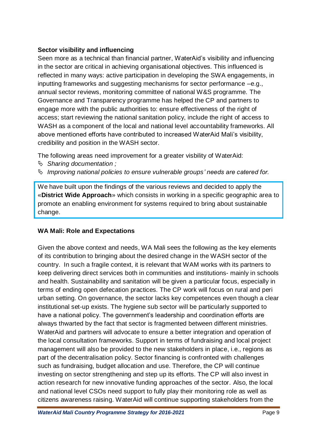## **Sector visibility and influencing**

Seen more as a technical than financial partner, WaterAid's visibility and influencing in the sector are critical in achieving organisational objectives. This influenced is reflected in many ways: active participation in developing the SWA engagements, in inputting frameworks and suggesting mechanisms for sector performance –e.g., annual sector reviews, monitoring committee of national W&S programme. The Governance and Transparency programme has helped the CP and partners to engage more with the public authorities to: ensure effectiveness of the right of access; start reviewing the national sanitation policy, include the right of access to WASH as a component of the local and national level accountability frameworks. All above mentioned efforts have contributed to increased WaterAid Mali's visibility, credibility and position in the WASH sector.

The following areas need improvement for a greater visbility of WaterAid:

- *Sharing documentation ;*
- *Improving national policies to ensure vulnerable groups' needs are catered for.*

We have built upon the findings of the various reviews and decided to apply the «**District Wide Approach**» which consists in working in a specific geographic area to promote an enabling environment for systems required to bring about sustainable change.

## **WA Mali: Role and Expectations**

Given the above context and needs, WA Mali sees the following as the key elements of its contribution to bringing about the desired change in the WASH sector of the country. In such a fragile context, it is relevant that WAM works with its partners to keep delivering direct services both in communities and institutions- mainly in schools and health. Sustainability and sanitation will be given a particular focus, especially in terms of ending open defecation practices. The CP work will focus on rural and peri urban setting. On governance, the sector lacks key competences even though a clear institutional set-up exists. The hygiene sub sector will be particularly supported to have a national policy. The government's leadership and coordination efforts are always thwarted by the fact that sector is fragmented between different ministries. WaterAid and partners will advocate to ensure a better integration and operation of the local consultation frameworks. Support in terms of fundraising and local project management will also be provided to the new stakeholders in place, i.e., regions as part of the decentralisation policy. Sector financing is confronted with challenges such as fundraising, budget allocation and use. Therefore, the CP will continue investing on sector strengthening and step up its efforts. The CP will also invest in action research for new innovative funding approaches of the sector. Also, the local and national level CSOs need support to fully play their monitoring role as well as citizens awareness raising. WaterAid will continue supporting stakeholders from the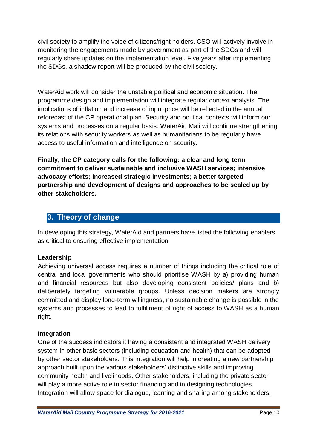civil society to amplify the voice of citizens/right holders. CSO will actively involve in monitoring the engagements made by government as part of the SDGs and will regularly share updates on the implementation level. Five years after implementing the SDGs, a shadow report will be produced by the civil society.

WaterAid work will consider the unstable political and economic situation. The programme design and implementation will integrate regular context analysis. The implications of inflation and increase of input price will be reflected in the annual reforecast of the CP operational plan. Security and political contexts will inform our systems and processes on a regular basis. WaterAid Mali will continue strengthening its relations with security workers as well as humanitarians to be regularly have access to useful information and intelligence on security.

**Finally, the CP category calls for the following: a clear and long term commitment to deliver sustainable and inclusive WASH services; intensive advocacy efforts; increased strategic investments; a better targeted partnership and development of designs and approaches to be scaled up by other stakeholders.** 

## <span id="page-10-0"></span>**3. Theory of change**

In developing this strategy, WaterAid and partners have listed the following enablers as critical to ensuring effective implementation.

## **Leadership**

Achieving universal access requires a number of things including the critical role of central and local governments who should prioritise WASH by a) providing human and financial resources but also developing consistent policies/ plans and b) deliberately targeting vulnerable groups. Unless decision makers are strongly committed and display long-term willingness, no sustainable change is possible in the systems and processes to lead to fulfillment of right of access to WASH as a human right.

## **Integration**

One of the success indicators it having a consistent and integrated WASH delivery system in other basic sectors (including education and health) that can be adopted by other sector stakeholders. This integration will help in creating a new partnership approach built upon the various stakeholders' distinctive skills and improving community health and livelihoods. Other stakeholders, including the private sector will play a more active role in sector financing and in designing technologies. Integration will allow space for dialogue, learning and sharing among stakeholders.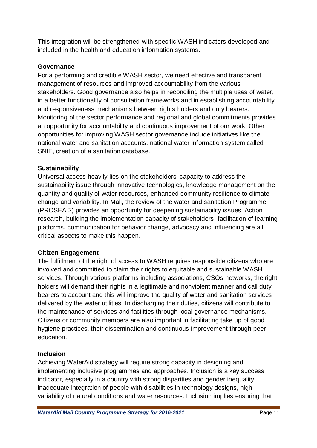This integration will be strengthened with specific WASH indicators developed and included in the health and education information systems.

## **Governance**

For a performing and credible WASH sector, we need effective and transparent management of resources and improved accountability from the various stakeholders. Good governance also helps in reconciling the multiple uses of water, in a better functionality of consultation frameworks and in establishing accountability and responsiveness mechanisms between rights holders and duty bearers. Monitoring of the sector performance and regional and global commitments provides an opportunity for accountability and continuous improvement of our work. Other opportunities for improving WASH sector governance include initiatives like the national water and sanitation accounts, national water information system called SNIE, creation of a sanitation database.

## **Sustainability**

Universal access heavily lies on the stakeholders' capacity to address the sustainability issue through innovative technologies, knowledge management on the quantity and quality of water resources, enhanced community resilience to climate change and variability. In Mali, the review of the water and sanitation Programme (PROSEA 2) provides an opportunity for deepening sustainability issues. Action research, building the implementation capacity of stakeholders, facilitation of learning platforms, communication for behavior change, advocacy and influencing are all critical aspects to make this happen.

## **Citizen Engagement**

The fulfillment of the right of access to WASH requires responsible citizens who are involved and committed to claim their rights to equitable and sustainable WASH services. Through various platforms including associations, CSOs networks, the right holders will demand their rights in a legitimate and nonviolent manner and call duty bearers to account and this will improve the quality of water and sanitation services delivered by the water utilities. In discharging their duties, citizens will contribute to the maintenance of services and facilities through local governance mechanisms. Citizens or community members are also important in facilitating take up of good hygiene practices, their dissemination and continuous improvement through peer education.

## **Inclusion**

Achieving WaterAid strategy will require strong capacity in designing and implementing inclusive programmes and approaches. Inclusion is a key success indicator, especially in a country with strong disparities and gender inequality, inadequate integration of people with disabilities in technology designs, high variability of natural conditions and water resources. Inclusion implies ensuring that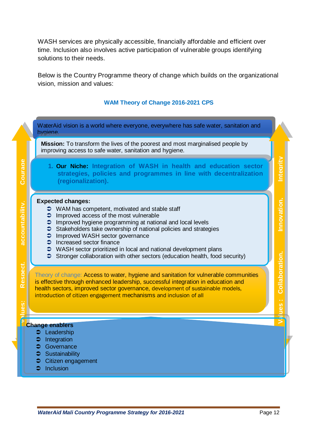WASH services are physically accessible, financially affordable and efficient over time. Inclusion also involves active participation of vulnerable groups identifying solutions to their needs.

Below is the Country Programme theory of change which builds on the organizational vision, mission and values:

#### **WAM Theory of Change 2016-2021 CPS**

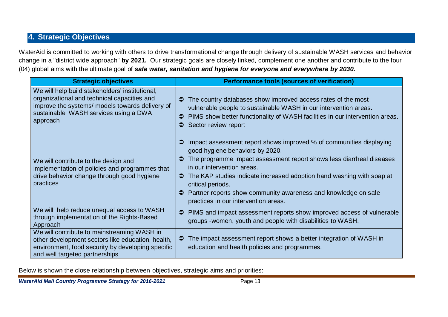## **4. Strategic Objectives**

WaterAid is committed to working with others to drive transformational change through delivery of sustainable WASH services and behavior change in a "district wide approach" **by 2021.** Our strategic goals are closely linked, complement one another and contribute to the four (04) global aims with the ultimate goal of *safe water, sanitation and hygiene for everyone and everywhere by 2030.*

<span id="page-13-0"></span>

| <b>Strategic objectives</b>                                                                                                                                                                            | <b>Performance tools (sources of verification)</b>                                                                                                                                                                                                                                                                                                                                                                                |
|--------------------------------------------------------------------------------------------------------------------------------------------------------------------------------------------------------|-----------------------------------------------------------------------------------------------------------------------------------------------------------------------------------------------------------------------------------------------------------------------------------------------------------------------------------------------------------------------------------------------------------------------------------|
| We will help build stakeholders' institutional,<br>organizational and technical capacities and<br>improve the systems/ models towards delivery of<br>sustainable WASH services using a DWA<br>approach | The country databases show improved access rates of the most<br>vulnerable people to sustainable WASH in our intervention areas.<br>PIMS show better functionality of WASH facilities in our intervention areas.<br>Sector review report                                                                                                                                                                                          |
| We will contribute to the design and<br>implementation of policies and programmes that<br>drive behavior change through good hygiene<br>practices                                                      | Impact assessment report shows improved % of communities displaying<br>$\bullet$<br>good hygiene behaviors by 2020.<br>The programme impact assessment report shows less diarrheal diseases<br>in our intervention areas.<br>The KAP studies indicate increased adoption hand washing with soap at<br>critical periods.<br>Partner reports show community awareness and knowledge on safe<br>practices in our intervention areas. |
| We will help reduce unequal access to WASH<br>through implementation of the Rights-Based<br>Approach                                                                                                   | PIMS and impact assessment reports show improved access of vulnerable<br>groups - women, youth and people with disabilities to WASH.                                                                                                                                                                                                                                                                                              |
| We will contribute to mainstreaming WASH in<br>other development sectors like education, health,<br>environment, food security by developing specific<br>and well targeted partnerships                | The impact assessment report shows a better integration of WASH in<br>⊃<br>education and health policies and programmes.                                                                                                                                                                                                                                                                                                          |

Below is shown the close relationship between objectives, strategic aims and priorities: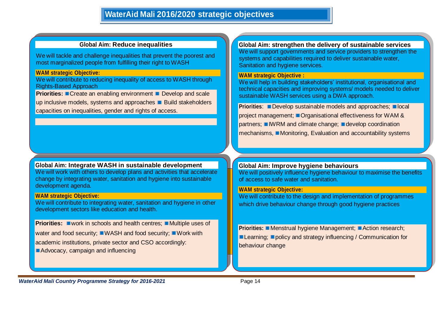#### **Global Aim: Reduce inequalities**

We will tackle and challenge inequalities that prevent the poorest and most marginalized people from fulfilling their right to WASH

#### **WAM strategic Objective:**

We will contribute to reducing inequality of access to WASH through Rights-Based Approach

**Priorities:** Create an enabling environment Develop and scale up inclusive models, systems and approaches **Build stakeholders** capacities on inequalities, gender and rights of access.

**Global Aim: Integrate WASH in sustainable development** We will work with others to develop plans and activities that accelerate change by integrating water, sanitation and hygiene into sustainable development agenda.

#### **WAM strategic Objective:**

We will contribute to integrating water, sanitation and hygiene in other development sectors like education and health.

**Priorities:** work in schools and health centres; Multiple uses of water and food security: WASH and food security: Work with academic institutions, private sector and CSO accordingly: Advocacy, campaign and influencing

**Global Aim: strengthen the delivery of sustainable services**  We will support governments and service providers to strengthen the systems and capabilities required to deliver sustainable water. Sanitation and hygiene services.

#### **WAM strategic Objective :**

We will help in building stakeholders' institutional, organisational and technical capacities and improving systems/ models needed to deliver sustainable WASH services using a DWA approach.

**Priorities:** Develop sustainable models and approaches; local project management: Organisational effectiveness for WAM & partners; IWRM and climate change; I develop coordination  $mechanisms,$  Monitoring, Evaluation and accountability systems

#### **Global Aim: Improve hygiene behaviours**

We will positively influence hygiene behaviour to maximise the benefits of access to safe water and sanitation.

#### **WAM strategic Objective:**

We will contribute to the design and implementation of programmes which drive behaviour change through good hygiene practices

**Priorities:** Menstrual hygiene Management; Action research; **Learning:** policy and strategy influencing / Communication for behaviour change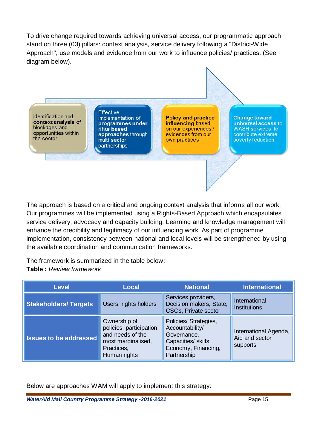To drive change required towards achieving universal access, our programmatic approach stand on three (03) pillars: context analysis, service delivery following a "District-Wide Approach", use models and evidence from our work to influence policies/ practices. (See diagram below).

identification and context analysis of blockages and opportunities within the sector

**Effective** implementation of programmes under rihts based approaches through multi sector partnerships

**Policy and practice** influencing based on our experiences / evidences from our own practices

**Change toward** universal access to **WASH** services to contribute extreme poverty reduction

The approach is based on a critical and ongoing context analysis that informs all our work. Our programmes will be implemented using a Rights-Based Approach which encapsulates service delivery, advocacy and capacity building. Learning and knowledge management will enhance the credibility and legitimacy of our influencing work. As part of programme implementation, consistency between national and local levels will be strengthened by using the available coordination and communication frameworks.

The framework is summarized in the table below: **Table :** *Review framework*

| <b>Level</b>                                         | <b>Local</b>                                                                                                    | <b>National</b>                                                                                                      | <b>International</b>                                |  |
|------------------------------------------------------|-----------------------------------------------------------------------------------------------------------------|----------------------------------------------------------------------------------------------------------------------|-----------------------------------------------------|--|
| Users, rights holders<br><b>Stakeholders/Targets</b> |                                                                                                                 | Services providers,<br>Decision makers, State,<br><b>CSOs, Private sector</b>                                        | International<br><b>Institutions</b>                |  |
| <b>Issues to be addressed</b>                        | Ownership of<br>policies, participation<br>and needs of the<br>most marginalised,<br>Practices,<br>Human rights | Policies/ Strategies,<br>Accountability/<br>Governance,<br>Capacities/ skills,<br>Economy, Financing,<br>Partnership | International Agenda,<br>Aid and sector<br>supports |  |

Below are approaches WAM will apply to implement this strategy: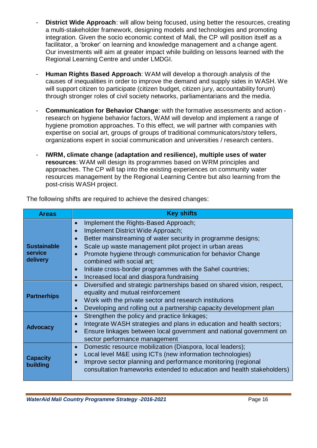- **District Wide Approach:** will allow being focused, using better the resources, creating a multi-stakeholder framework, designing models and technologies and promoting integration. Given the socio economic context of Mali, the CP will position itself as a facilitator, a 'broker' on learning and knowledge management and a change agent. Our investments will aim at greater impact while building on lessons learned with the Regional Learning Centre and under LMDGI.
- **Human Rights Based Approach**: WAM will develop a thorough analysis of the causes of inequalities in order to improve the demand and supply sides in WASH. We will support citizen to participate (citizen budget, citizen jury, accountability forum) through stronger roles of civil society networks, parliamentarians and the media.
- **Communication for Behavior Change**: with the formative assessments and action research on hygiene behavior factors, WAM will develop and implement a range of hygiene promotion approaches. To this effect, we will partner with companies with expertise on social art, groups of groups of traditional communicators/story tellers, organizations expert in social communication and universities / research centers.
- **IWRM, climate change (adaptation and resilience), multiple uses of water resources**: WAM will design its programmes based on WRM principles and approaches. The CP will tap into the existing experiences on community water resources management by the Regional Learning Centre but also learning from the post-crisis WASH project.

| <b>Areas</b>                              | <b>Key shifts</b>                                                                                                                                                                                                                                                                                                                                                                                                                              |
|-------------------------------------------|------------------------------------------------------------------------------------------------------------------------------------------------------------------------------------------------------------------------------------------------------------------------------------------------------------------------------------------------------------------------------------------------------------------------------------------------|
| <b>Sustainable</b><br>service<br>delivery | Implement the Rights-Based Approach;<br>$\bullet$<br>Implement District Wide Approach;<br>Better mainstreaming of water security in programme designs;<br>Scale up waste management pilot project in urban areas<br>Promote hygiene through communication for behavior Change<br>combined with social art;<br>Initiate cross-border programmes with the Sahel countries;<br>$\bullet$<br>Increased local and diaspora fundraising<br>$\bullet$ |
| <b>Partnerhips</b>                        | Diversified and strategic partnerships based on shared vision, respect,<br>$\bullet$<br>equality and mutual reinforcement<br>Work with the private sector and research institutions<br>$\bullet$<br>Developing and rolling out a partnership capacity development plan<br>$\bullet$                                                                                                                                                            |
| <b>Advocacy</b>                           | Strengthen the policy and practice linkages;<br>$\bullet$<br>Integrate WASH strategies and plans in education and health sectors;<br>$\bullet$<br>Ensure linkages between local government and national government on<br>sector performance management                                                                                                                                                                                         |
| <b>Capacity</b><br>building               | Domestic resource mobilization (Diaspora, local leaders);<br>$\bullet$<br>Local level M&E using ICTs (new information technologies)<br>Improve sector planning and performance monitoring (regional<br>consultation frameworks extended to education and health stakeholders)                                                                                                                                                                  |

The following shifts are required to achieve the desired changes: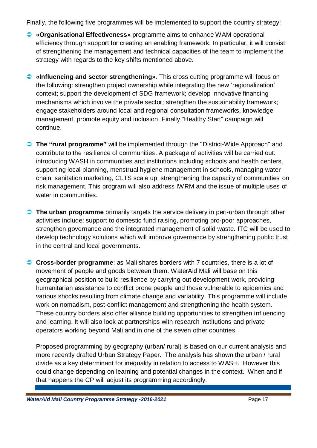Finally, the following five programmes will be implemented to support the country strategy:

- **«Organisational Effectiveness»** programme aims to enhance WAM operational efficiency through support for creating an enabling framework. In particular, it will consist of strengthening the management and technical capacities of the team to implement the strategy with regards to the key shifts mentioned above.
- **«Influencing and sector strengthening»**. This cross cutting programme will focus on the following: strengthen project ownership while integrating the new 'regionalization' context; support the development of SDG framework; develop innovative financing mechanisms which involve the private sector; strengthen the sustainability framework; engage stakeholders around local and regional consultation frameworks, knowledge management, promote equity and inclusion. Finally "Healthy Start" campaign will continue.
- **The "rural programme"** will be implemented through the "District-Wide Approach" and contribute to the resilience of communities. A package of activities will be carried out: introducing WASH in communities and institutions including schools and health centers, supporting local planning, menstrual hygiene management in schools, managing water chain, sanitation marketing, CLTS scale up, strengthening the capacity of communities on risk management. This program will also address IWRM and the issue of multiple uses of water in communities.
- **The urban programme** primarily targets the service delivery in peri-urban through other activities include: support to domestic fund raising, promoting pro-poor approaches, strengthen governance and the integrated management of solid waste. ITC will be used to develop technology solutions which will improve governance by strengthening public trust in the central and local governments.
- **Cross-border programme**: as Mali shares borders with 7 countries, there is a lot of movement of people and goods between them. WaterAid Mali will base on this geographical position to build resilience by carrying out development work, providing humanitarian assistance to conflict prone people and those vulnerable to epidemics and various shocks resulting from climate change and variability. This programme will include work on nomadism, post-conflict management and strengthening the health system. These country borders also offer alliance building opportunities to strengthen influencing and learning. It will also look at partnerships with research institutions and private operators working beyond Mali and in one of the seven other countries.

Proposed programming by geography (urban/ rural) is based on our current analysis and more recently drafted Urban Strategy Paper. The analysis has shown the urban / rural divide as a key determinant for inequality in relation to access to WASH. However this could change depending on learning and potential changes in the context. When and if that happens the CP will adjust its programming accordingly.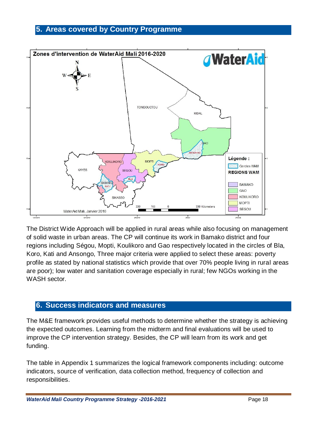## <span id="page-18-0"></span>**5. Areas covered by Country Programme**



The District Wide Approach will be applied in rural areas while also focusing on management of solid waste in urban areas. The CP will continue its work in Bamako district and four regions including Ségou, Mopti, Koulikoro and Gao respectively located in the circles of Bla, Koro, Kati and Ansongo, Three major criteria were applied to select these areas: poverty profile as stated by national statistics which provide that over 70% people living in rural areas are poor); low water and sanitation coverage especially in rural; few NGOs working in the WASH sector.

## <span id="page-18-1"></span>**6. Success indicators and measures**

The M&E framework provides useful methods to determine whether the strategy is achieving the expected outcomes. Learning from the midterm and final evaluations will be used to improve the CP intervention strategy. Besides, the CP will learn from its work and get funding.

The table in Appendix 1 summarizes the logical framework components including: outcome indicators, source of verification, data collection method, frequency of collection and responsibilities.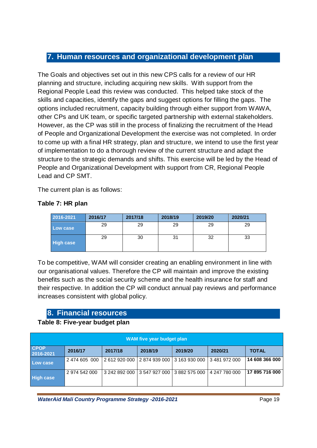## <span id="page-19-0"></span>**7. Human resources and organizational development plan**

The Goals and objectives set out in this new CPS calls for a review of our HR planning and structure, including acquiring new skills. With support from the Regional People Lead this review was conducted. This helped take stock of the skills and capacities, identify the gaps and suggest options for filling the gaps. The options included recruitment, capacity building through either support from WAWA, other CPs and UK team, or specific targeted partnership with external stakeholders. However, as the CP was still in the process of finalizing the recruitment of the Head of People and Organizational Development the exercise was not completed. In order to come up with a final HR strategy, plan and structure, we intend to use the first year of implementation to do a thorough review of the current structure and adapt the structure to the strategic demands and shifts. This exercise will be led by the Head of People and Organizational Development with support from CR, Regional People Lead and CP SMT.

The current plan is as follows:

## **Table 7: HR plan**

| 2016-2021        | 2016/17 | 2017/18 | 2018/19 | 2019/20 | 2020/21 |
|------------------|---------|---------|---------|---------|---------|
| Low case         | 29      | 29      | 29      | 29      | 29      |
| <b>High case</b> | 29      | 30      | 31      | 32      | 33      |

To be competitive, WAM will consider creating an enabling environment in line with our organisational values. Therefore the CP will maintain and improve the existing benefits such as the social security scheme and the health insurance for staff and their respective. In addition the CP will conduct annual pay reviews and performance increases consistent with global policy.

## **8. Financial resources**

## <span id="page-19-1"></span>**Table 8: Five-year budget plan**

| WAM five year budget plan |               |               |         |                             |               |                |  |  |
|---------------------------|---------------|---------------|---------|-----------------------------|---------------|----------------|--|--|
| <b>CPOP</b><br>2016-2021  | 2016/17       | 2017/18       | 2018/19 | 2019/20                     | 2020/21       | <b>TOTAL</b>   |  |  |
| Low case                  | 2 474 605 000 | 2 612 920 000 |         | 2874939000 3163930000       | 3 481 972 000 | 14 608 366 000 |  |  |
| <b>High case</b>          | 2 974 542 000 | 3 242 892 000 |         | 3 547 927 000 3 882 575 000 | 4 247 780 000 | 17 895 716 000 |  |  |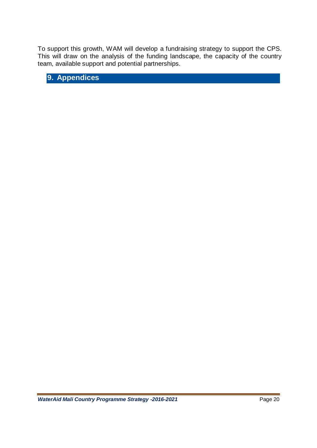To support this growth, WAM will develop a fundraising strategy to support the CPS. This will draw on the analysis of the funding landscape, the capacity of the country team, available support and potential partnerships.

<span id="page-20-0"></span>**9. Appendices**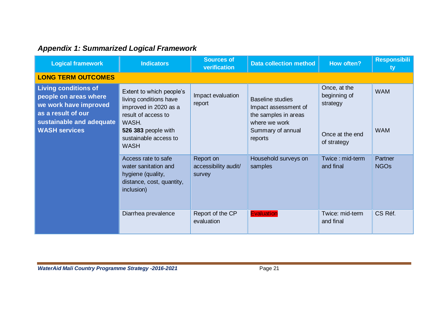# *Appendix 1: Summarized Logical Framework*

<span id="page-21-0"></span>

| <b>Logical framework</b>                                                                                                                                | <b>Indicators</b>                                                                                                                                                          | <b>Sources of</b><br>verification           | <b>Data collection method</b>                                                                                            | How often?                                                                 | <b>Responsibili</b><br>ty |
|---------------------------------------------------------------------------------------------------------------------------------------------------------|----------------------------------------------------------------------------------------------------------------------------------------------------------------------------|---------------------------------------------|--------------------------------------------------------------------------------------------------------------------------|----------------------------------------------------------------------------|---------------------------|
| <b>LONG TERM OUTCOMES</b>                                                                                                                               |                                                                                                                                                                            |                                             |                                                                                                                          |                                                                            |                           |
| <b>Living conditions of</b><br>people on areas where<br>we work have improved<br>as a result of our<br>sustainable and adequate<br><b>WASH services</b> | Extent to which people's<br>living conditions have<br>improved in 2020 as a<br>result of access to<br>WASH.<br>526 383 people with<br>sustainable access to<br><b>WASH</b> | Impact evaluation<br>report                 | <b>Baseline studies</b><br>Impact assessment of<br>the samples in areas<br>where we work<br>Summary of annual<br>reports | Once, at the<br>beginning of<br>strategy<br>Once at the end<br>of strategy | <b>WAM</b><br><b>WAM</b>  |
|                                                                                                                                                         | Access rate to safe<br>water sanitation and<br>hygiene (quality,<br>distance, cost, quantity,<br>inclusion)                                                                | Report on<br>accessibility audit/<br>survey | Household surveys on<br>samples                                                                                          | Twice: mid-term<br>and final                                               | Partner<br><b>NGOs</b>    |
|                                                                                                                                                         | Diarrhea prevalence                                                                                                                                                        | Report of the CP<br>evaluation              | Evaluation                                                                                                               | Twice: mid-term<br>and final                                               | CS Réf.                   |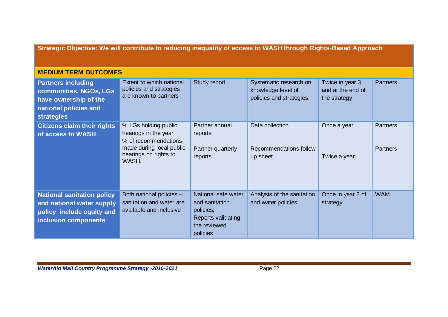**Strategic Objective: We will contribute to reducing inequality of access to WASH through Rights-Based Approach** 

## **MEDIUM TERM OUTCOMES**

| <b>Partners including</b><br>communities, NGOs, LGs<br>have ownership of the<br>national policies and<br><b>strategies</b> | Extent to which national<br>policies and strategies<br>are known to partners                                                       | <b>Study report</b>                                                                                  | Systematic research on<br>knowledge level of<br>policies and strategies. | Twice in year 3<br>and at the end of<br>the strategy | <b>Partners</b>                    |
|----------------------------------------------------------------------------------------------------------------------------|------------------------------------------------------------------------------------------------------------------------------------|------------------------------------------------------------------------------------------------------|--------------------------------------------------------------------------|------------------------------------------------------|------------------------------------|
| <b>Citizens claim their rights</b><br>of access to WASH                                                                    | % LGs holding public<br>hearings in the year<br>% of recommendations<br>made during local public<br>hearings on rights to<br>WASH. | Partner annual<br>reports<br>Partner quarterly<br>reports                                            | Data collection<br>Recommendations follow<br>up sheet.                   | Once a year<br>Twice a year                          | <b>Partners</b><br><b>Partners</b> |
| <b>National sanitation policy</b><br>and national water supply<br>policy include equity and<br>inclusion components        | Both national policies -<br>sanitation and water are<br>available and inclusive                                                    | National safe water<br>and sanitation<br>policies;<br>Reports validating<br>the reviewed<br>policies | Analysis of the sanitation<br>and water policies.                        | Once in year 2 of<br>strategy                        | <b>WAM</b>                         |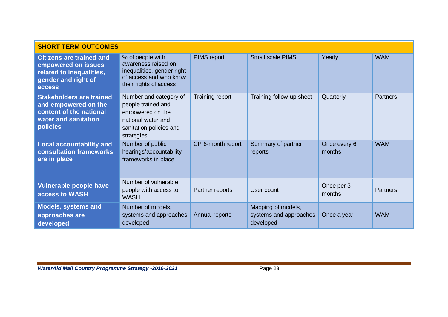| <b>SHORT TERM OUTCOMES</b>                                                                                             |                                                                                                                                 |                   |                                                           |                        |                 |  |
|------------------------------------------------------------------------------------------------------------------------|---------------------------------------------------------------------------------------------------------------------------------|-------------------|-----------------------------------------------------------|------------------------|-----------------|--|
| <b>Citizens are trained and</b><br>empowered on issues<br>related to inequalities,<br>gender and right of<br>access    | % of people with<br>awareness raised on<br>inequalities, gender right<br>of access and who know<br>their rights of access       | PIMS report       | <b>Small scale PIMS</b>                                   | Yearly                 | <b>WAM</b>      |  |
| <b>Stakeholders are trained</b><br>and empowered on the<br>content of the national<br>water and sanitation<br>policies | Number and category of<br>people trained and<br>empowered on the<br>national water and<br>sanitation policies and<br>strategies | Training report   | Training follow up sheet                                  | Quarterly              | <b>Partners</b> |  |
| <b>Local accountability and</b><br><b>consultation frameworks</b><br>are in place                                      | Number of public<br>hearings/accountability<br>frameworks in place                                                              | CP 6-month report | Summary of partner<br>reports                             | Once every 6<br>months | <b>WAM</b>      |  |
| Vulnerable people have<br>access to WASH                                                                               | Number of vulnerable<br>people with access to<br><b>WASH</b>                                                                    | Partner reports   | User count                                                | Once per 3<br>months   | <b>Partners</b> |  |
| <b>Models, systems and</b><br>approaches are<br>developed                                                              | Number of models,<br>systems and approaches<br>developed                                                                        | Annual reports    | Mapping of models,<br>systems and approaches<br>developed | Once a year            | <b>WAM</b>      |  |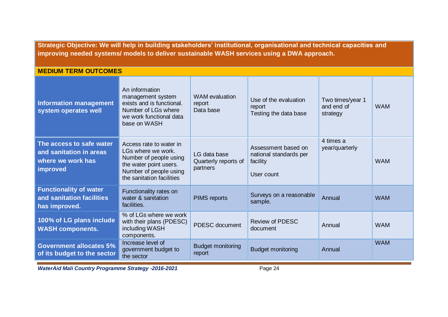**Strategic Objective: We will help in building stakeholders' institutional, organisational and technical capacities and improving needed systems/ models to deliver sustainable WASH services using a DWA approach.**

| <b>MEDIUM TERM OUTCOMES</b>                                                          |                                                                                                                                                          |                                                  |                                                                         |                                            |            |  |
|--------------------------------------------------------------------------------------|----------------------------------------------------------------------------------------------------------------------------------------------------------|--------------------------------------------------|-------------------------------------------------------------------------|--------------------------------------------|------------|--|
| <b>Information management</b><br>system operates well                                | An information<br>management system<br>exists and is functional.<br>Number of LGs where<br>we work functional data<br>base on WASH                       | WAM evaluation<br>report<br>Data base            | Use of the evaluation<br>report<br>Testing the data base                | Two times/year 1<br>and end of<br>strategy | <b>WAM</b> |  |
| The access to safe water<br>and sanitation in areas<br>where we work has<br>improved | Access rate to water in<br>LGs where we work.<br>Number of people using<br>the water point users.<br>Number of people using<br>the sanitation facilities | LG data base<br>Quarterly reports of<br>partners | Assessment based on<br>national standards per<br>facility<br>User count | 4 times a<br>year/quarterly                | <b>WAM</b> |  |
| <b>Functionality of water</b><br>and sanitation facilities<br>has improved.          | Functionality rates on<br>water & sanitation<br>facilities.                                                                                              | <b>PIMS</b> reports                              | Surveys on a reasonable<br>sample.                                      | Annual                                     | <b>WAM</b> |  |
| 100% of LG plans include<br><b>WASH components.</b>                                  | % of LGs where we work<br>with their plans (PDESC)<br>including WASH<br>components.                                                                      | PDESC document                                   | <b>Review of PDESC</b><br>document                                      | Annual                                     | <b>WAM</b> |  |
| <b>Government allocates 5%</b><br>of its budget to the sector                        | Increase level of<br>government budget to<br>the sector                                                                                                  | <b>Budget monitoring</b><br>report               | <b>Budget monitoring</b>                                                | Annual                                     | <b>WAM</b> |  |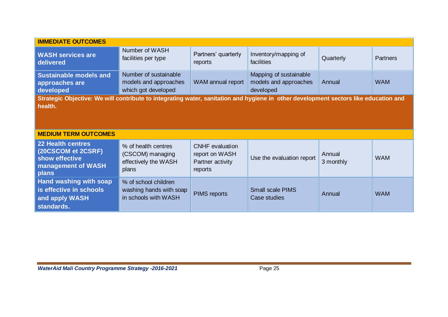| <b>IMMEDIATE OUTCOMES</b>                                                                                                            |                                                                          |                                                                         |                                                              |                     |                 |  |
|--------------------------------------------------------------------------------------------------------------------------------------|--------------------------------------------------------------------------|-------------------------------------------------------------------------|--------------------------------------------------------------|---------------------|-----------------|--|
| <b>WASH services are</b><br>delivered                                                                                                | Number of WASH<br>facilities per type                                    | Partners' quarterly<br>reports                                          | Inventory/mapping of<br>facilities                           | Quarterly           | <b>Partners</b> |  |
| <b>Sustainable models and</b><br>approaches are<br>developed                                                                         | Number of sustainable<br>models and approaches<br>which got developed    | WAM annual report                                                       | Mapping of sustainable<br>models and approaches<br>developed | Annual              | <b>WAM</b>      |  |
| Strategic Objective: We will contribute to integrating water, sanitation and hygiene in other development sectors like education and |                                                                          |                                                                         |                                                              |                     |                 |  |
| health.                                                                                                                              |                                                                          |                                                                         |                                                              |                     |                 |  |
|                                                                                                                                      |                                                                          |                                                                         |                                                              |                     |                 |  |
| <b>MEDIUM TERM OUTCOMES</b>                                                                                                          |                                                                          |                                                                         |                                                              |                     |                 |  |
| <b>22 Health centres</b><br>(20CSCOM et 2CSRF)<br>show effective<br>management of WASH<br>plans                                      | % of health centres<br>(CSCOM) managing<br>effectively the WASH<br>plans | <b>CNHF</b> evaluation<br>report on WASH<br>Partner activity<br>reports | Use the evaluation report                                    | Annual<br>3 monthly | <b>WAM</b>      |  |
| Hand washing with soap<br>is effective in schools<br>and apply WASH<br>standards.                                                    | % of school children<br>washing hands with soap<br>in schools with WASH  | <b>PIMS</b> reports                                                     | <b>Small scale PIMS</b><br>Case studies                      | Annual              | <b>WAM</b>      |  |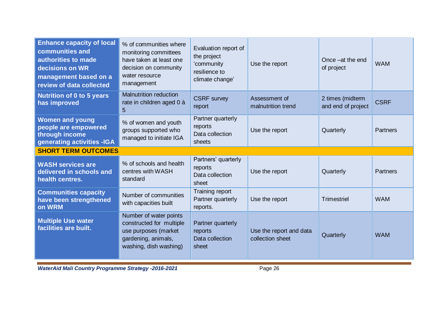| <b>Enhance capacity of local</b><br>communities and<br>authorities to made<br>decisions on WR<br>management based on a<br>review of data collected | % of communities where<br>monitoring committees<br>have taken at least one<br>decision on community<br>water resource<br>management | Evaluation report of<br>the project<br>'community<br>resilience to<br>climate change' | Use the report                              | Once - at the end<br>of project        | <b>WAM</b>  |
|----------------------------------------------------------------------------------------------------------------------------------------------------|-------------------------------------------------------------------------------------------------------------------------------------|---------------------------------------------------------------------------------------|---------------------------------------------|----------------------------------------|-------------|
| <b>Nutrition of 0 to 5 years</b><br>has improved                                                                                                   | <b>Malnutrition reduction</b><br>rate in children aged 0 à<br>$\overline{5}$                                                        | <b>CSRF</b> survey<br>report                                                          | Assessment of<br>malnutrition trend         | 2 times (midterm<br>and end of project | <b>CSRF</b> |
| <b>Women and young</b><br>people are empowered<br>through income<br>generating activities -IGA                                                     | % of women and youth<br>groups supported who<br>managed to initiate IGA                                                             | Partner quarterly<br>reports<br>Data collection<br>sheets                             | Use the report                              | Quarterly                              | Partners    |
| <b>SHORT TERM OUTCOMES</b>                                                                                                                         |                                                                                                                                     |                                                                                       |                                             |                                        |             |
| <b>WASH services are</b><br>delivered in schools and<br>health centres.                                                                            | % of schools and health<br>centres with WASH<br>standard                                                                            | Partners' quarterly<br>reports<br>Data collection<br>sheet                            | Use the report                              | Quarterly                              | Partners    |
| <b>Communities capacity</b><br>have been strengthened<br>on WRM                                                                                    | Number of communities<br>with capacities built                                                                                      | Training report<br>Partner quarterly<br>reports.                                      | Use the report                              | <b>Trimestriel</b>                     | <b>WAM</b>  |
| <b>Multiple Use water</b><br>facilities are built.                                                                                                 | Number of water points<br>constructed for multiple<br>use purposes (market<br>gardening, animals,<br>washing, dish washing)         | Partner quarterly<br>reports<br>Data collection<br>sheet                              | Use the report and data<br>collection sheet | Quarterly                              | <b>WAM</b>  |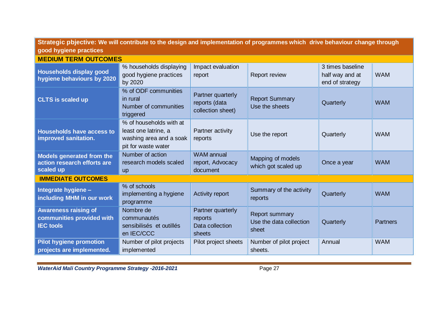| Strategic pbjective: We will contribute to the design and implementation of programmes which drive behaviour change through<br>good hygiene practices |                                                                                                   |                                                           |                                                           |                                                        |                 |
|-------------------------------------------------------------------------------------------------------------------------------------------------------|---------------------------------------------------------------------------------------------------|-----------------------------------------------------------|-----------------------------------------------------------|--------------------------------------------------------|-----------------|
| <b>MEDIUM TERM OUTCOMES</b>                                                                                                                           |                                                                                                   |                                                           |                                                           |                                                        |                 |
| Households display good<br>hygiene behaviours by 2020                                                                                                 | % households displaying<br>good hygiene practices<br>by 2020                                      | Impact evaluation<br>report                               | <b>Report review</b>                                      | 3 times baseline<br>half way and at<br>end of strategy | <b>WAM</b>      |
| <b>CLTS is scaled up</b>                                                                                                                              | % of ODF communities<br>in rural<br>Number of communities<br>triggered                            | Partner quarterly<br>reports (data<br>collection sheet)   | <b>Report Summary</b><br>Use the sheets                   | Quarterly                                              | <b>WAM</b>      |
| <b>Households have access to</b><br>improved sanitation.                                                                                              | % of households with at<br>least one latrine, a<br>washing area and a soak<br>pit for waste water | Partner activity<br>reports                               | Use the report                                            | Quarterly                                              | <b>WAM</b>      |
| Models generated from the<br>action research efforts are<br>scaled up                                                                                 | Number of action<br>research models scaled<br><b>up</b>                                           | <b>WAM</b> annual<br>report, Advocacy<br>document         | Mapping of models<br>which got scaled up                  | Once a year                                            | <b>WAM</b>      |
| <b>IMMEDIATE OUTCOMES</b>                                                                                                                             |                                                                                                   |                                                           |                                                           |                                                        |                 |
| Integrate hygiene -<br>including MHM in our work                                                                                                      | % of schools<br>implementing a hygiene<br>programme                                               | Activity report                                           | Summary of the activity<br>reports                        | Quarterly                                              | <b>WAM</b>      |
| <b>Awareness raising of</b><br>communities provided with<br><b>IEC</b> tools                                                                          | Nombre de<br>communautés<br>sensibilisés et outillés<br>en IEC/CCC                                | Partner quarterly<br>reports<br>Data collection<br>sheets | <b>Report summary</b><br>Use the data collection<br>sheet | Quarterly                                              | <b>Partners</b> |
| <b>Pilot hygiene promotion</b><br>projects are implemented.                                                                                           | Number of pilot projects<br>implemented                                                           | Pilot project sheets                                      | Number of pilot project<br>sheets.                        | Annual                                                 | <b>WAM</b>      |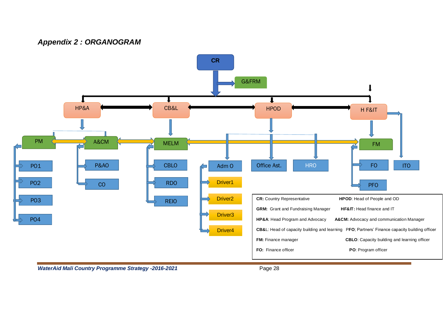## *Appendix 2 : ORGANOGRAM*

<span id="page-28-0"></span>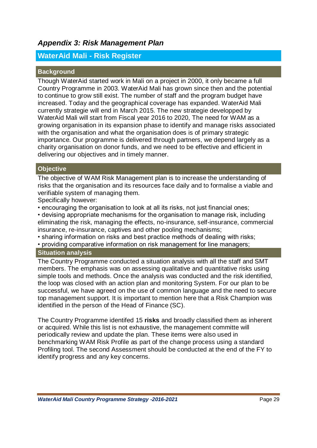## <span id="page-29-0"></span>*Appendix 3: Risk Management Plan*

## **WaterAid Mali - Risk Register**

#### **Background**

Though WaterAid started work in Mali on a project in 2000, it only became a full Country Programme in 2003. WaterAid Mali has grown since then and the potential to continue to grow still exist. The number of staff and the program budget have increased. Today and the geographical coverage has expanded. WaterAid Mali currently strategie will end in March 2015. The new strategie developped by WaterAid Mali will start from Fiscal year 2016 to 2020, The need for WAM as a growing organisation in its expansion phase to identify and manage risks associated with the organisation and what the organisation does is of primary strategic importance. Our programme is delivered through partners, we depend largely as a charity organisation on donor funds, and we need to be effective and efficient in delivering our objectives and in timely manner.

## **Objective**

The objective of WAM Risk Management plan is to increase the understanding of risks that the organisation and its resources face daily and to formalise a viable and verifiable system of managing them.

Specifically however:

• encouraging the organisation to look at all its risks, not just financial ones;

• devising appropriate mechanisms for the organisation to manage risk, including eliminating the risk, managing the effects, no-insurance, self-insurance, commercial insurance, re-insurance, captives and other pooling mechanisms;

• sharing information on risks and best practice methods of dealing with risks;

• providing comparative information on risk management for line managers;

#### **Situation analysis**

The Country Programme conducted a situation analysis with all the staff and SMT members. The emphasis was on assessing qualitative and quantitative risks using simple tools and methods. Once the analysis was conducted and the risk identified, the loop was closed with an action plan and monitoring System. For our plan to be successful, we have agreed on the use of common language and the need to secure top management support. It is important to mention here that a Risk Champion was identified in the person of the Head of Finance (SC).

The Country Programme identifed 15 **risks** and broadly classified them as inherent or acquired. While this list is not exhaustive, the management committe will periodically review and update the plan. These items were also used in benchmarking WAM Risk Profile as part of the change process using a standard Profiling tool. The second Assessment should be conducted at the end of the FY to identify progress and any key concerns.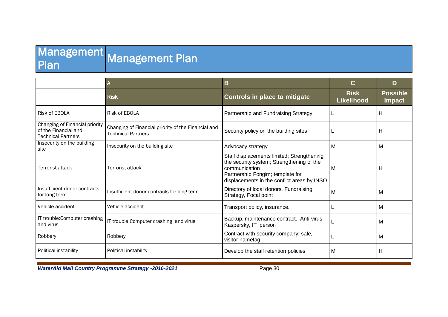## **Management** Plan Management Plan

|                                                                                     | $\overline{A}$                                                                   | В                                                                                                                                                                                           | C                                | D                                |
|-------------------------------------------------------------------------------------|----------------------------------------------------------------------------------|---------------------------------------------------------------------------------------------------------------------------------------------------------------------------------------------|----------------------------------|----------------------------------|
|                                                                                     | <b>Risk</b>                                                                      | <b>Controls in place to mitigate</b>                                                                                                                                                        | <b>Risk</b><br><b>Likelihood</b> | <b>Possible</b><br><b>Impact</b> |
| Risk of EBOLA                                                                       | Risk of EBOLA                                                                    | Partnership and Fundraising Strategy                                                                                                                                                        |                                  | Н                                |
| Changing of Financial priority<br>of the Financial and<br><b>Technical Partners</b> | Changing of Financial priority of the Financial and<br><b>Technical Partners</b> | Security policy on the building sites                                                                                                                                                       |                                  | Н                                |
| Insecurity on the building<br>site                                                  | Insecurity on the building site                                                  | Advocacy strategy                                                                                                                                                                           | М                                | M                                |
| Terrorist attack                                                                    | Terrorist attack                                                                 | Staff displacements limited; Strengthening<br>the security system; Strengthening of the<br>communication<br>Partnership Fongim; template for<br>displacements in the conflict areas by INSO | м                                | Н                                |
| Insufficient donor contracts<br>for long term                                       | Insufficient donor contracts for long term                                       | Directory of local donors, Fundraising<br>Strategy, Focal point                                                                                                                             | М                                | M                                |
| Vehicle accident                                                                    | Vehicle accident                                                                 | Transport policy, insurance.                                                                                                                                                                |                                  | M                                |
| IT trouble: Computer crashing<br>and virus                                          | IT trouble: Computer crashing and virus                                          | Backup, maintenance contract. Anti-virus<br>Kaspersky, IT person                                                                                                                            |                                  | M                                |
| Robbery                                                                             | Robbery                                                                          | Contract with security company; safe,<br>visitor nametag.                                                                                                                                   |                                  | M                                |
| Political instability                                                               | Political instability                                                            | Develop the staff retention policies                                                                                                                                                        | М                                | H                                |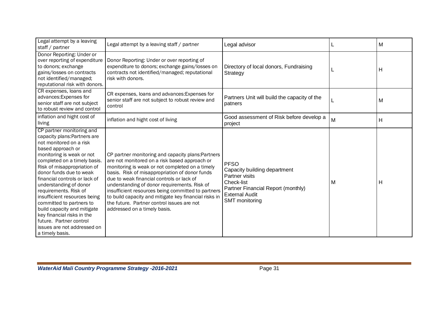| Legal attempt by a leaving<br>staff / partner                                                                                                                                                                                                                                                                                                                                                                                                                                                                              | Legal attempt by a leaving staff / partner                                                                                                                                                                                                                                                                                                                                                                                                                                                         | Legal advisor                                                                                                                                                |   | M |
|----------------------------------------------------------------------------------------------------------------------------------------------------------------------------------------------------------------------------------------------------------------------------------------------------------------------------------------------------------------------------------------------------------------------------------------------------------------------------------------------------------------------------|----------------------------------------------------------------------------------------------------------------------------------------------------------------------------------------------------------------------------------------------------------------------------------------------------------------------------------------------------------------------------------------------------------------------------------------------------------------------------------------------------|--------------------------------------------------------------------------------------------------------------------------------------------------------------|---|---|
| Donor Reporting: Under or<br>over reporting of expenditure<br>to donors; exchange<br>gains/losses on contracts<br>not identified/managed;<br>reputational risk with donors.                                                                                                                                                                                                                                                                                                                                                | Donor Reporting: Under or over reporting of<br>expenditure to donors; exchange gains/losses on<br>contracts not identified/managed; reputational<br>risk with donors.                                                                                                                                                                                                                                                                                                                              | Directory of local donors, Fundraising<br>Strategy                                                                                                           |   | H |
| CR expenses, loans and<br>advances: Expenses for<br>senior staff are not subject<br>to robust review and control                                                                                                                                                                                                                                                                                                                                                                                                           | CR expenses, loans and advances: Expenses for<br>senior staff are not subject to robust review and<br>control                                                                                                                                                                                                                                                                                                                                                                                      | Partners Unit will build the capacity of the<br>patners                                                                                                      |   | M |
| inflation and hight cost of<br>living                                                                                                                                                                                                                                                                                                                                                                                                                                                                                      | inflation and hight cost of living                                                                                                                                                                                                                                                                                                                                                                                                                                                                 | Good assessment of Risk before develop a<br>project                                                                                                          | M | H |
| CP partner monitoring and<br>capacity plans: Partners are<br>not monitored on a risk<br>based approach or<br>monitoring is weak or not<br>completed on a timely basis.<br>Risk of misappropriation of<br>donor funds due to weak<br>financial controls or lack of<br>understanding of donor<br>requirements. Risk of<br>insufficient resources being<br>committed to partners to<br>build capacity and mitigate<br>key financial risks in the<br>future. Partner control<br>issues are not addressed on<br>a timely basis. | CP partner monitoring and capacity plans: Partners<br>are not monitored on a risk based approach or<br>monitoring is weak or not completed on a timely<br>basis. Risk of misappropriation of donor funds<br>due to weak financial controls or lack of<br>understanding of donor requirements. Risk of<br>insufficient resources being committed to partners<br>to build capacity and mitigate key financial risks in<br>the future. Partner control issues are not<br>addressed on a timely basis. | <b>PFSO</b><br>Capacity building department<br>Partner visits<br>Check-list<br>Partner Financial Report (monthly)<br><b>External Audit</b><br>SMT monitoring | М | H |